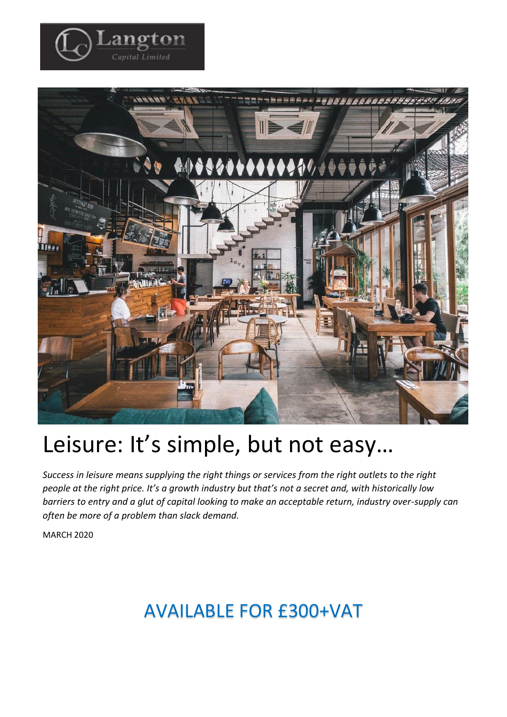

angton Capital Limited

# Leisure: It's simple, but not easy…

*Success in leisure means supplying the right things or services from the right outlets to the right people at the right price. It's a growth industry but that's not a secret and, with historically low barriers to entry and a glut of capital looking to make an acceptable return, industry over-supply can often be more of a problem than slack demand.*

MARCH 2020

## AVAILABLE FOR £300+VAT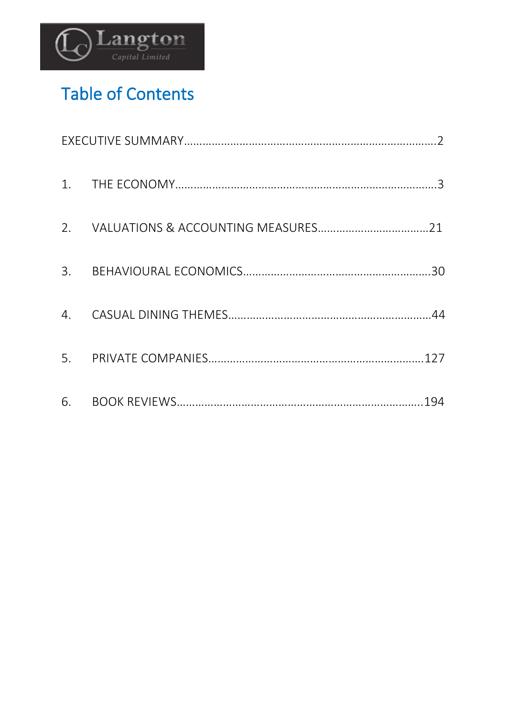

## Table of Contents